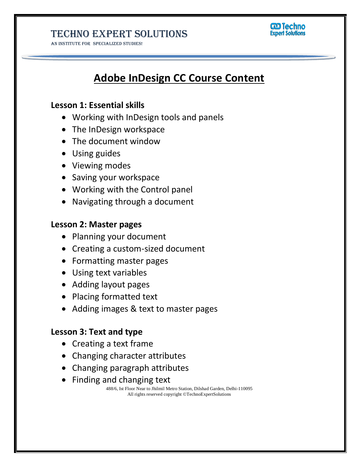AN INSTITUTE FOR SPECIALIZED STUDIES!



# **Adobe InDesign CC Course Content**

#### **Lesson 1: Essential skills**

- Working with InDesign tools and panels
- The InDesign workspace
- The document window
- Using guides
- Viewing modes
- Saving your workspace
- Working with the Control panel
- Navigating through a document

#### **Lesson 2: Master pages**

- Planning your document
- Creating a custom-sized document
- Formatting master pages
- Using text variables
- Adding layout pages
- Placing formatted text
- Adding images & text to master pages

#### **Lesson 3: Text and type**

- Creating a text frame
- Changing character attributes
- Changing paragraph attributes
- Finding and changing text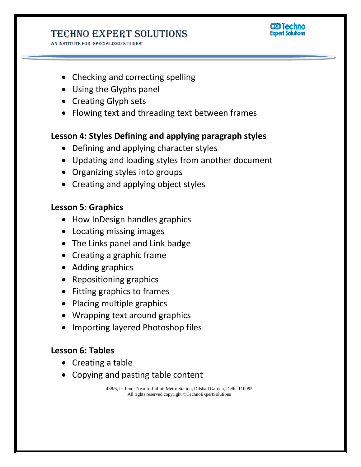AN INSTITUTE FOR SPECIALIZED STUDIES!



- Checking and correcting spelling
- Using the Glyphs panel
- Creating Glyph sets
- Flowing text and threading text between frames

### **Lesson 4: Styles Defining and applying paragraph styles**

- Defining and applying character styles
- Updating and loading styles from another document
- Organizing styles into groups
- Creating and applying object styles

### **Lesson 5: Graphics**

- How InDesign handles graphics
- Locating missing images
- The Links panel and Link badge
- Creating a graphic frame
- Adding graphics
- Repositioning graphics
- Fitting graphics to frames
- Placing multiple graphics
- Wrapping text around graphics
- Importing layered Photoshop files

### **Lesson 6: Tables**

- Creating a table
- Copying and pasting table content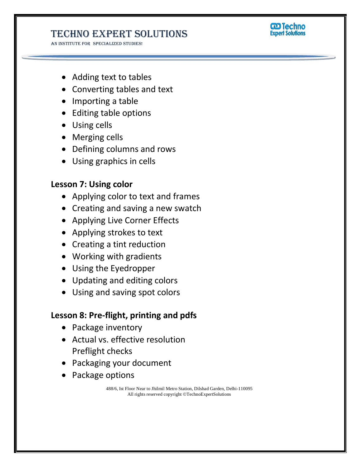AN INSTITUTE FOR SPECIALIZED STUDIES!



- Adding text to tables
- Converting tables and text
- Importing a table
- Editing table options
- Using cells
- Merging cells
- Defining columns and rows
- Using graphics in cells

#### **Lesson 7: Using color**

- Applying color to text and frames
- Creating and saving a new swatch
- Applying Live Corner Effects
- Applying strokes to text
- Creating a tint reduction
- Working with gradients
- Using the Eyedropper
- Updating and editing colors
- Using and saving spot colors

### **Lesson 8: Pre-flight, printing and pdfs**

- Package inventory
- Actual vs. effective resolution Preflight checks
- Packaging your document
- Package options